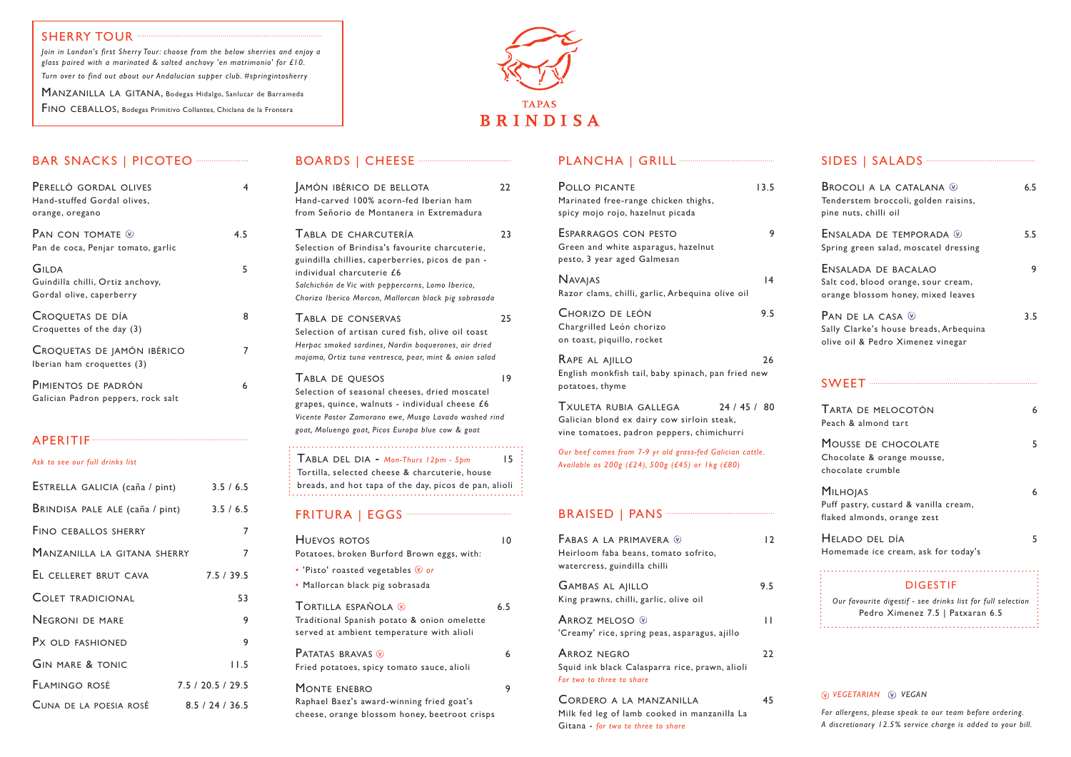## BAR SNACKS | PICOTEO ···························

| PERELLÓ GORDAL OLIVES<br>Hand-stuffed Gordal olives,<br>orange, oregano |     |
|-------------------------------------------------------------------------|-----|
| Pan con tomate $\mathbb Q$<br>Pan de coca, Penjar tomato, garlic        | 4.5 |
| GILDA<br>Guindilla chilli, Ortiz anchovy,<br>Gordal olive, caperberry   | 5   |
| CROQUETAS DE DÍA<br>Croquettes of the day (3)                           | 8   |
| CROQUETAS DE JAMÓN IBÉRICO<br>Iberian ham croquettes (3)                |     |
| PIMIENTOS DE PADRÓN<br>Galician Padron peppers, rock salt               | 6   |

#### APERITIF

*Ask to see our full drinks list* 

| ESTRELLA GALICIA (caña / pint)  | 3.5/6.5           |
|---------------------------------|-------------------|
| BRINDISA PALE ALE (caña / pint) | 3.5/6.5           |
| <b>FINO CEBALLOS SHERRY</b>     | 7                 |
| MANZANILLA LA GITANA SHERRY     | 7                 |
| EL CELLERET BRUT CAVA           | 7.5 / 39.5        |
| <b>COLET TRADICIONAL</b>        | 53                |
| <b>NEGRONI DE MARE</b>          | 9                 |
| Px OLD FASHIONED                | 9                 |
| <b>GIN MARE &amp; TONIC</b>     | 11.5              |
| FLAMINGO ROSÉ                   | 7.5 / 20.5 / 29.5 |
| CUNA DE LA POESIA ROSÉ          | 8.5/24/36.5       |

### BOARDS | CHEESE ·······

Tortilla española ( $\degree$  6.5 Traditional Spanish potato & onion omelette served at ambient temperature with alioli PATATAS BRAVAS **W** 6 Fried potatoes, spicy tomato sauce, alioli

MONTE ENEBRO 9 Raphael Baez's award-winning fried goat's cheese, orange blossom honey, beetroot crisps

#### PLANCHA | GRILL<sup>.</sup>

| POLLO PICANTE<br>Marinated free-range chicken thighs,<br>spicy mojo rojo, hazelnut picada                                     | 13.5 |
|-------------------------------------------------------------------------------------------------------------------------------|------|
| ESPARRAGOS CON PESTO<br>Green and white asparagus, hazelnut<br>pesto, 3 year aged Galmesan                                    | 9    |
| <b>NAVAJAS</b><br>Razor clams, chilli, garlic, Arbequina olive oil                                                            | 4    |
| Chorizo de león<br>Chargrilled León chorizo<br>on toast, piquillo, rocket                                                     | 9.5  |
| RAPE AL AJILLO<br>English monkfish tail, baby spinach, pan fried new<br>potatoes, thyme                                       | 26   |
| 24/45/80<br>TXULETA RUBIA GALLEGA<br>Galician blond ex dairy cow sirloin steak,<br>vine tomatoes, padron peppers, chimichurri |      |
| Our beef comes from 7-9 yr old grass-fed Galician cattle.<br>Available as 200g (£24), 500g (£45) or 1kg (£80)                 |      |
|                                                                                                                               |      |
| FABAS A LA PRIMAVERA W<br>Heirloom faba beans, tomato sofrito,<br>watercress, guindilla chilli                                | 12   |
| <b>GAMBAS AL AJILLO</b><br>King prawns, chilli, garlic, olive oil                                                             | 9.5  |
| <b>ARROZ MELOSO W</b><br>'Creamy' rice, spring peas, asparagus, ajillo                                                        | П    |
| <b>ARROZ NEGRO</b><br>Squid ink black Calasparra rice, prawn, alioli<br>For two to three to share                             | 22   |
| CORDERO A LA MANZANILLA<br>Milk fed leg of lamb cooked in manzanilla La                                                       | 45   |

| AMÓN IBÉRICO DE BELLOTA<br>Hand-carved 100% acorn-fed Iberian ham<br>from Señorio de Montanera in Extremadura                                                                                                                                                         | 22             |
|-----------------------------------------------------------------------------------------------------------------------------------------------------------------------------------------------------------------------------------------------------------------------|----------------|
| TABLA DE CHARCUTERÍA<br>Selection of Brindisa's favourite charcuterie,<br>guindilla chillies, caperberries, picos de pan -<br>individual charcuterie £6<br>Salchichón de Vic with peppercorns, Lomo Iberico,<br>Chorizo Iberico Morcon, Mallorcan black pig sobrasada | 23             |
| TABLA DE CONSERVAS<br>Selection of artisan cured fish, olive oil toast<br>Herpac smoked sardines, Nardin boquerones, air dried<br>mojama, Ortiz tuna ventresca, pear, mint & onion salad                                                                              | 25             |
| TABLA DE QUESOS<br>Selection of seasonal cheeses, dried moscatel<br>grapes, quince, walnuts - individual cheese £6<br>Vicente Pastor Zamorano ewe, Musgo Lavado washed rind<br>goat, Moluengo goat, Picos Europa blue cow & goat                                      | 9              |
| TABLA DEL DIA - Mon-Thurs 12pm - 5pm<br>Tortilla, selected cheese & charcuterie, house<br>breads, and hot tapa of the day, picos de pan, alioli                                                                                                                       | 15             |
|                                                                                                                                                                                                                                                                       |                |
| HUEVOS ROTOS<br>Potatoes, broken Burford Brown eggs, with:<br>• 'Pisto' roasted vegetables $\mathcal{V}$ or<br>· Mallorcan black pig sobrasada                                                                                                                        | $\overline{0}$ |
| ᅮ                                                                                                                                                                                                                                                                     |                |

Gitana - *for two to three to share*

| SIDES   SALADS ~~~~~~~~~~~~~~~~~~~~~~~~~~~~~~                                                                      |     |
|--------------------------------------------------------------------------------------------------------------------|-----|
| <b>BROCOLI A LA CATALANA W</b><br>Tenderstem broccoli, golden raisins,<br>pine nuts, chilli oil                    | 6.5 |
| ENSALADA DE TEMPORADA ®<br>Spring green salad, moscatel dressing                                                   | 5.5 |
| ENSALADA DE BACALAO<br>Salt cod, blood orange, sour cream,<br>orange blossom honey, mixed leaves                   | 9   |
| PAN DE LA CASA $\mathcal Q$<br>Sally Clarke's house breads, Arbequina<br>olive oil & Pedro Ximenez vinegar         | 3.5 |
|                                                                                                                    |     |
| TARTA DE MELOCOTÓN<br>Peach & almond tart                                                                          | 6   |
| MOUSSE DE CHOCOLATE<br>Chocolate & orange mousse,<br>chocolate crumble                                             | 5   |
| <b>MILHOJAS</b><br>Puff pastry, custard & vanilla cream,<br>flaked almonds, orange zest                            | 6   |
| HELADO DEL DÍA<br>Homemade ice cream, ask for today's                                                              | 5   |
| <b>DIGESTIF</b><br>Our favourite digestif - see drinks list for full selection<br>Pedro Ximenez 7.5   Patxaran 6.5 |     |
|                                                                                                                    |     |

#### *vegetarian vegan*

*For allergens, please speak to our team before ordering. A discretionary 12.5% service charge is added to your bill.*

#### SHERRY TOUR

*Join in London's first Sherry Tour: choose from the below sherries and enjoy a glass paired with a marinated & salted anchovy 'en matrimonio' for £10. Turn over to find out about our Andalucian supper club. #springintosherry*

MANZANILLA LA GITANA, Bodegas Hidalgo, Sanlucar de Barrameda FINO CEBALLOS, Bodegas Primitivo Collantes, Chiclana de la Frontera